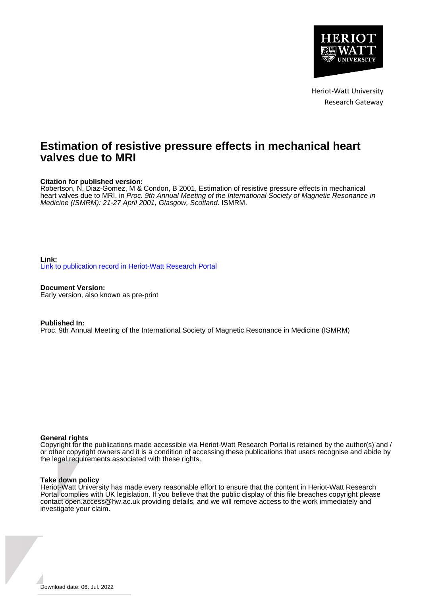

Heriot-Watt University Research Gateway

# **Estimation of resistive pressure effects in mechanical heart valves due to MRI**

# **Citation for published version:**

Robertson, N, Diaz-Gomez, M & Condon, B 2001, Estimation of resistive pressure effects in mechanical heart valves due to MRI. in Proc. 9th Annual Meeting of the International Society of Magnetic Resonance in Medicine (ISMRM): 21-27 April 2001, Glasgow, Scotland. ISMRM.

# **Link:** [Link to publication record in Heriot-Watt Research Portal](https://researchportal.hw.ac.uk/en/publications/a5d47bdb-075d-4f38-8fa4-3027db2c5f8f)

**Document Version:** Early version, also known as pre-print

## **Published In:**

Proc. 9th Annual Meeting of the International Society of Magnetic Resonance in Medicine (ISMRM)

## **General rights**

Copyright for the publications made accessible via Heriot-Watt Research Portal is retained by the author(s) and / or other copyright owners and it is a condition of accessing these publications that users recognise and abide by the legal requirements associated with these rights.

## **Take down policy**

Heriot-Watt University has made every reasonable effort to ensure that the content in Heriot-Watt Research Portal complies with UK legislation. If you believe that the public display of this file breaches copyright please contact open.access@hw.ac.uk providing details, and we will remove access to the work immediately and investigate your claim.